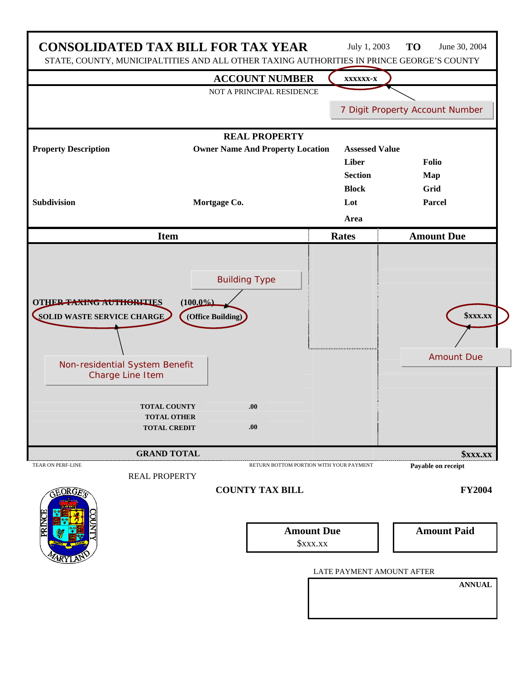|                                                                                                                     | <b>CONSOLIDATED TAX BILL FOR TAX YEAR</b><br>STATE, COUNTY, MUNICIPALTITIES AND ALL OTHER TAXING AUTHORITIES IN PRINCE GEORGE'S COUNTY | July 1, 2003              | <b>TO</b><br>June 30, 2004                         |
|---------------------------------------------------------------------------------------------------------------------|----------------------------------------------------------------------------------------------------------------------------------------|---------------------------|----------------------------------------------------|
|                                                                                                                     | <b>ACCOUNT NUMBER</b>                                                                                                                  | XXXXXX-X                  |                                                    |
|                                                                                                                     | NOT A PRINCIPAL RESIDENCE                                                                                                              |                           |                                                    |
|                                                                                                                     |                                                                                                                                        |                           | 7 Digit Property Account Number                    |
|                                                                                                                     | <b>REAL PROPERTY</b>                                                                                                                   |                           |                                                    |
| <b>Property Description</b>                                                                                         | <b>Owner Name And Property Location</b>                                                                                                | <b>Assessed Value</b>     |                                                    |
|                                                                                                                     |                                                                                                                                        | Liber                     | Folio                                              |
|                                                                                                                     |                                                                                                                                        | <b>Section</b>            | Map                                                |
| <b>Subdivision</b>                                                                                                  |                                                                                                                                        | <b>Block</b><br>Lot       | Grid<br>Parcel                                     |
|                                                                                                                     | Mortgage Co.                                                                                                                           |                           |                                                    |
| Area                                                                                                                |                                                                                                                                        |                           |                                                    |
|                                                                                                                     | <b>Item</b>                                                                                                                            | <b>Rates</b>              | <b>Amount Due</b>                                  |
| <b>OTHER TAXING AUTHORITIES</b><br>SOLID WASTE SERVICE CHARGE<br>Non-residential System Benefit<br>Charge Line Item | $(100.0\%)$<br>(Office Building)<br><b>TOTAL COUNTY</b><br>.00.<br><b>TOTAL OTHER</b><br><b>TOTAL CREDIT</b><br>.00.                   |                           | <b><i><u>SXXX.XX</u></i></b><br><b>Amount Due</b>  |
| <b>TEAR ON PERF-LINE</b>                                                                                            | <b>GRAND TOTAL</b><br>RETURN BOTTOM PORTION WITH YOUR PAYMENT                                                                          |                           | <b><i><u>SXXX.XX</u></i></b><br>Payable on receipt |
| ORG                                                                                                                 | <b>REAL PROPERTY</b><br><b>COUNTY TAX BILL</b>                                                                                         |                           | <b>FY2004</b>                                      |
|                                                                                                                     | <b>Amount Due</b><br>\$xxx.xx                                                                                                          |                           | <b>Amount Paid</b>                                 |
|                                                                                                                     |                                                                                                                                        | LATE PAYMENT AMOUNT AFTER |                                                    |
|                                                                                                                     |                                                                                                                                        |                           | <b>ANNUAL</b>                                      |